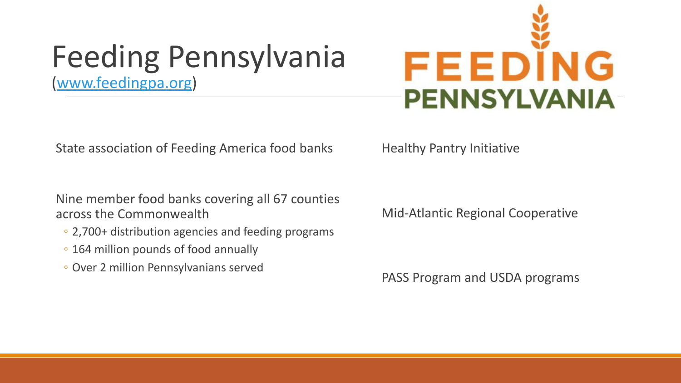### Feeding Pennsylvania [\(www.feedingpa.org\)](http://www.feedingpa.org/)



State association of Feeding America food banks

Nine member food banks covering all 67 counties across the Commonwealth

- 2,700+ distribution agencies and feeding programs
- 164 million pounds of food annually
- Over 2 million Pennsylvanians served

Healthy Pantry Initiative

Mid-Atlantic Regional Cooperative

PASS Program and USDA programs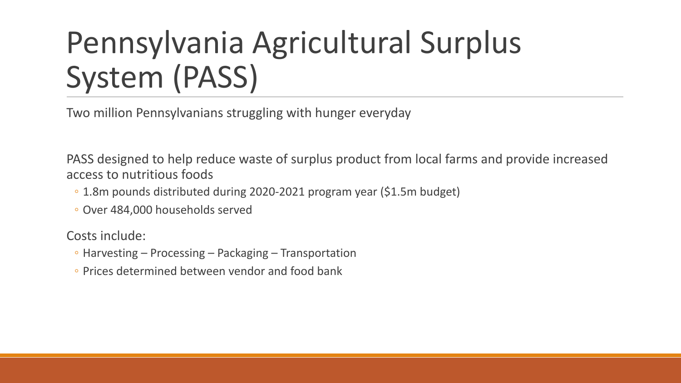### Pennsylvania Agricultural Surplus System (PASS)

Two million Pennsylvanians struggling with hunger everyday

PASS designed to help reduce waste of surplus product from local farms and provide increased access to nutritious foods

- 1.8m pounds distributed during 2020-2021 program year (\$1.5m budget)
- Over 484,000 households served

Costs include:

- Harvesting Processing Packaging Transportation
- Prices determined between vendor and food bank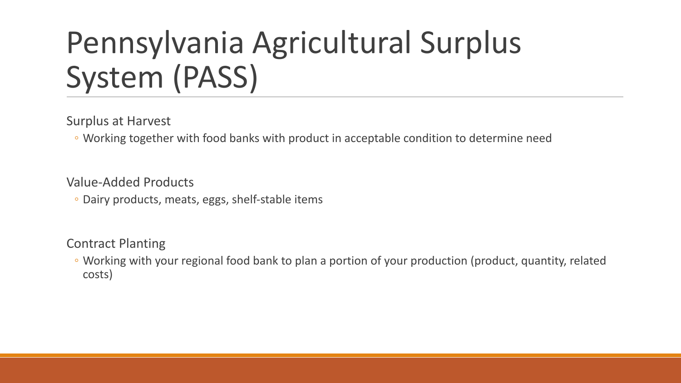### Pennsylvania Agricultural Surplus System (PASS)

Surplus at Harvest

◦ Working together with food banks with product in acceptable condition to determine need

Value-Added Products

◦ Dairy products, meats, eggs, shelf-stable items

Contract Planting

◦ Working with your regional food bank to plan a portion of your production (product, quantity, related costs)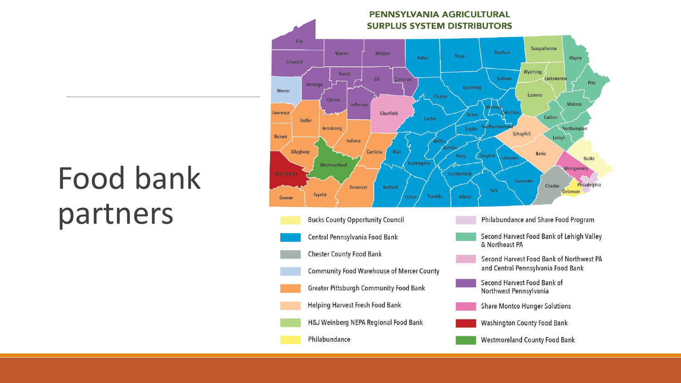### Food bank partners

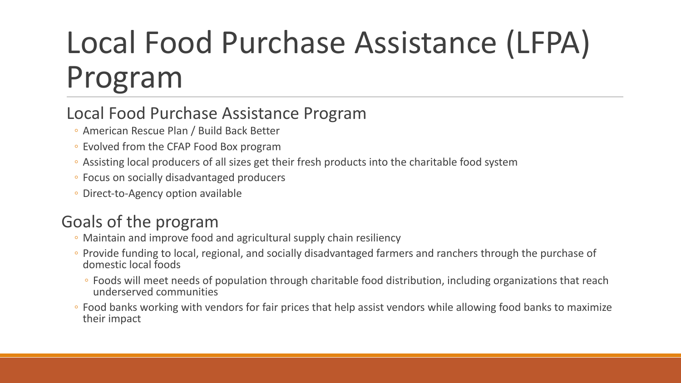# Local Food Purchase Assistance (LFPA) Program

#### Local Food Purchase Assistance Program

- American Rescue Plan / Build Back Better
- Evolved from the CFAP Food Box program
- Assisting local producers of all sizes get their fresh products into the charitable food system
- Focus on socially disadvantaged producers
- Direct-to-Agency option available

#### Goals of the program

- Maintain and improve food and agricultural supply chain resiliency
- Provide funding to local, regional, and socially disadvantaged farmers and ranchers through the purchase of domestic local foods
	- Foods will meet needs of population through charitable food distribution, including organizations that reach underserved communities
- Food banks working with vendors for fair prices that help assist vendors while allowing food banks to maximize their impact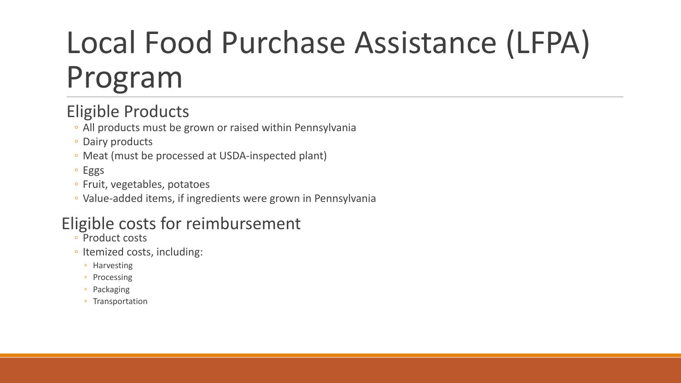# Local Food Purchase Assistance (LFPA) Program

### Eligible Products

- All products must be grown or raised within Pennsylvania
- Dairy products
- Meat (must be processed at USDA-inspected plant)
- Eggs
- Fruit, vegetables, potatoes
- Value-added items, if ingredients were grown in Pennsylvania

#### Eligible costs for reimbursement

- Product costs
- Itemized costs, including:
	- Harvesting
	- Processing
	- Packaging
	- Transportation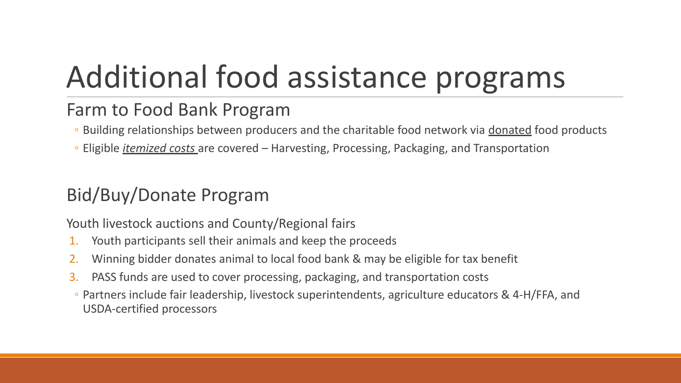# Additional food assistance programs

### Farm to Food Bank Program

- Building relationships between producers and the charitable food network via donated food products
- Eligible *itemized costs* are covered Harvesting, Processing, Packaging, and Transportation

### Bid/Buy/Donate Program

Youth livestock auctions and County/Regional fairs

- 1. Youth participants sell their animals and keep the proceeds
- 2. Winning bidder donates animal to local food bank & may be eligible for tax benefit
- 3. PASS funds are used to cover processing, packaging, and transportation costs
- Partners include fair leadership, livestock superintendents, agriculture educators & 4-H/FFA, and USDA-certified processors